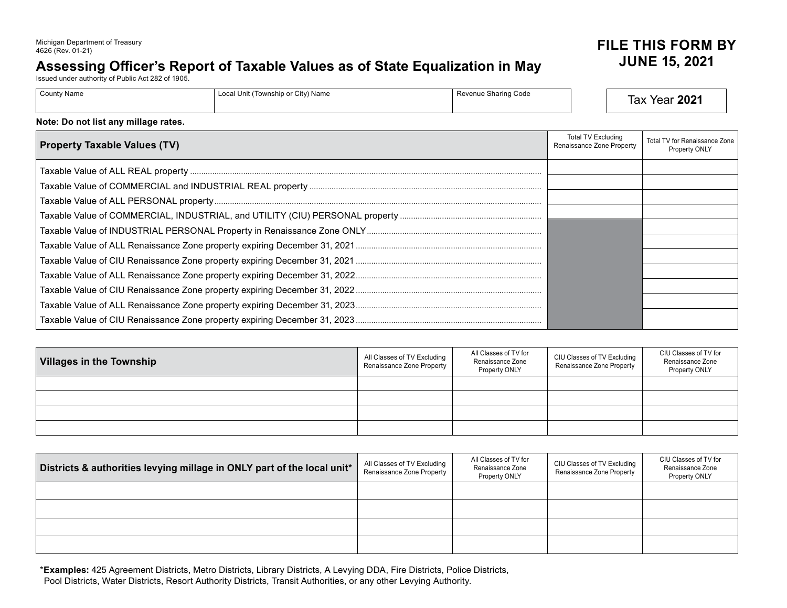## Assessing Officer's Report of Taxable Values as of State Equalization in May

Issued under authority of Public Act 282 of 1905.

| <b>County Name</b><br>Local Unit (Township or City) Name<br>≞ ∟ocal Offic, | Revenue Sharing Code | ירחר<br>Year<br>ax<br>ZUZ |
|----------------------------------------------------------------------------|----------------------|---------------------------|
|----------------------------------------------------------------------------|----------------------|---------------------------|

## **Note: Do not list any millage rates.**

| <b>Property Taxable Values (TV)</b> | Total TV Excluding<br>Renaissance Zone Property | Total TV for Renaissance Zone<br>Property ONLY |
|-------------------------------------|-------------------------------------------------|------------------------------------------------|
|                                     |                                                 |                                                |
|                                     |                                                 |                                                |
|                                     |                                                 |                                                |
|                                     |                                                 |                                                |
|                                     |                                                 |                                                |
|                                     |                                                 |                                                |
|                                     |                                                 |                                                |
|                                     |                                                 |                                                |
|                                     |                                                 |                                                |
|                                     |                                                 |                                                |
|                                     |                                                 |                                                |

| Villages in the Township | All Classes of TV Excluding<br>Renaissance Zone Property | All Classes of TV for<br>Renaissance Zone<br>Property ONLY | CIU Classes of TV Excluding<br>Renaissance Zone Property | CIU Classes of TV for<br>Renaissance Zone<br>Property ONLY |
|--------------------------|----------------------------------------------------------|------------------------------------------------------------|----------------------------------------------------------|------------------------------------------------------------|
|                          |                                                          |                                                            |                                                          |                                                            |
|                          |                                                          |                                                            |                                                          |                                                            |
|                          |                                                          |                                                            |                                                          |                                                            |
|                          |                                                          |                                                            |                                                          |                                                            |

| Districts & authorities levying millage in ONLY part of the local unit* | All Classes of TV Excluding<br>Renaissance Zone Property | All Classes of TV for<br>Renaissance Zone<br>Property ONLY | CIU Classes of TV Excluding<br>Renaissance Zone Property | CIU Classes of TV for<br>Renaissance Zone<br>Property ONLY |
|-------------------------------------------------------------------------|----------------------------------------------------------|------------------------------------------------------------|----------------------------------------------------------|------------------------------------------------------------|
|                                                                         |                                                          |                                                            |                                                          |                                                            |
|                                                                         |                                                          |                                                            |                                                          |                                                            |
|                                                                         |                                                          |                                                            |                                                          |                                                            |
|                                                                         |                                                          |                                                            |                                                          |                                                            |

\***Examples:** 425 Agreement Districts, Metro Districts, Library Districts, A Levying DDA, Fire Districts, Police Districts, Pool Districts, Water Districts, Resort Authority Districts, Transit Authorities, or any other Levying Authority.

## **JUNE 15, 2021** Michigan Department of Treasury **FILE THIS FORM BY**